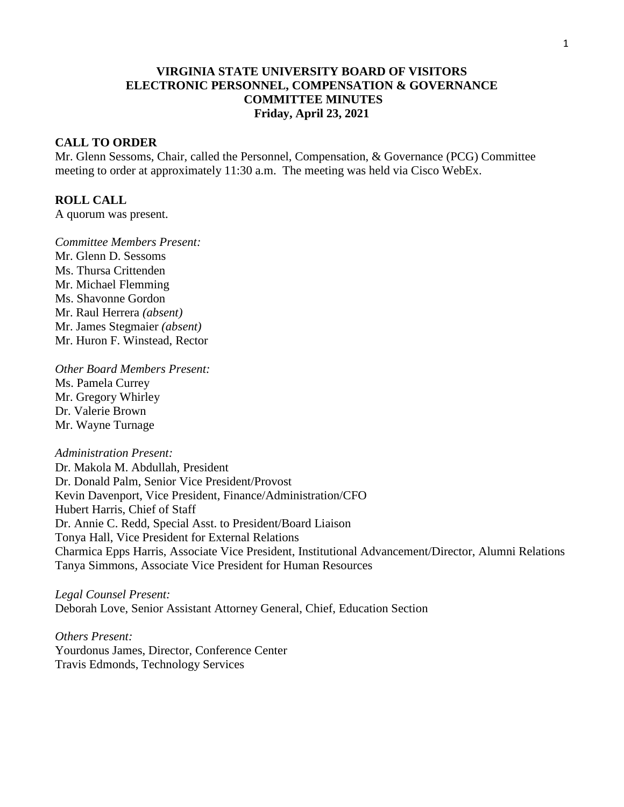# **VIRGINIA STATE UNIVERSITY BOARD OF VISITORS ELECTRONIC PERSONNEL, COMPENSATION & GOVERNANCE COMMITTEE MINUTES Friday, April 23, 2021**

# **CALL TO ORDER**

Mr. Glenn Sessoms, Chair, called the Personnel, Compensation, & Governance (PCG) Committee meeting to order at approximately 11:30 a.m. The meeting was held via Cisco WebEx.

#### **ROLL CALL**

A quorum was present.

*Committee Members Present:* Mr. Glenn D. Sessoms Ms. Thursa Crittenden Mr. Michael Flemming Ms. Shavonne Gordon Mr. Raul Herrera *(absent)* Mr. James Stegmaier *(absent)* Mr. Huron F. Winstead, Rector

*Other Board Members Present:* Ms. Pamela Currey Mr. Gregory Whirley Dr. Valerie Brown Mr. Wayne Turnage

*Administration Present:* Dr. Makola M. Abdullah, President Dr. Donald Palm, Senior Vice President/Provost Kevin Davenport, Vice President, Finance/Administration/CFO Hubert Harris, Chief of Staff Dr. Annie C. Redd, Special Asst. to President/Board Liaison Tonya Hall, Vice President for External Relations Charmica Epps Harris, Associate Vice President, Institutional Advancement/Director, Alumni Relations Tanya Simmons, Associate Vice President for Human Resources

*Legal Counsel Present:* Deborah Love, Senior Assistant Attorney General, Chief, Education Section

*Others Present:* Yourdonus James, Director, Conference Center Travis Edmonds, Technology Services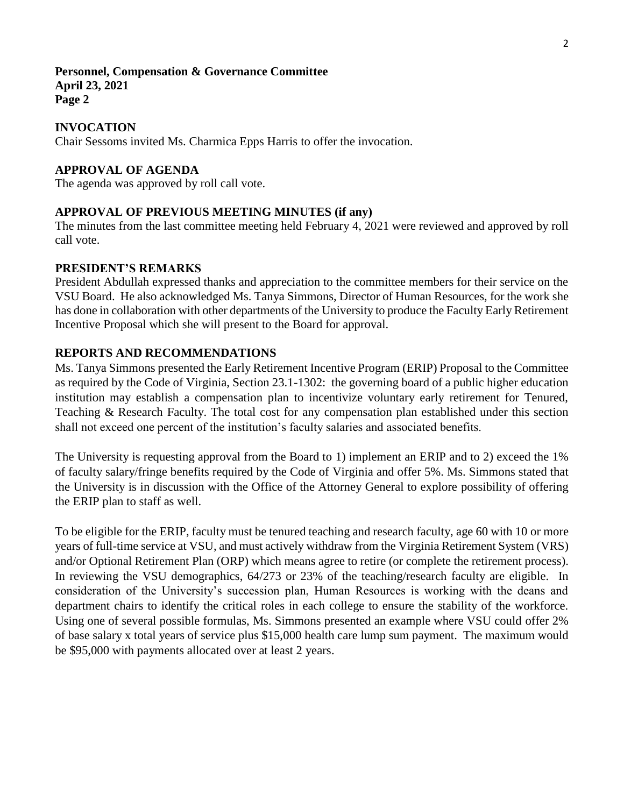# **Personnel, Compensation & Governance Committee April 23, 2021 Page 2**

# **INVOCATION**

Chair Sessoms invited Ms. Charmica Epps Harris to offer the invocation.

# **APPROVAL OF AGENDA**

The agenda was approved by roll call vote.

### **APPROVAL OF PREVIOUS MEETING MINUTES (if any)**

The minutes from the last committee meeting held February 4, 2021 were reviewed and approved by roll call vote.

### **PRESIDENT'S REMARKS**

President Abdullah expressed thanks and appreciation to the committee members for their service on the VSU Board. He also acknowledged Ms. Tanya Simmons, Director of Human Resources, for the work she has done in collaboration with other departments of the University to produce the Faculty Early Retirement Incentive Proposal which she will present to the Board for approval.

### **REPORTS AND RECOMMENDATIONS**

Ms. Tanya Simmons presented the Early Retirement Incentive Program (ERIP) Proposal to the Committee as required by the Code of Virginia, Section 23.1-1302: the governing board of a public higher education institution may establish a compensation plan to incentivize voluntary early retirement for Tenured, Teaching & Research Faculty. The total cost for any compensation plan established under this section shall not exceed one percent of the institution's faculty salaries and associated benefits.

The University is requesting approval from the Board to 1) implement an ERIP and to 2) exceed the 1% of faculty salary/fringe benefits required by the Code of Virginia and offer 5%. Ms. Simmons stated that the University is in discussion with the Office of the Attorney General to explore possibility of offering the ERIP plan to staff as well.

To be eligible for the ERIP, faculty must be tenured teaching and research faculty, age 60 with 10 or more years of full-time service at VSU, and must actively withdraw from the Virginia Retirement System (VRS) and/or Optional Retirement Plan (ORP) which means agree to retire (or complete the retirement process). In reviewing the VSU demographics, 64/273 or 23% of the teaching/research faculty are eligible. In consideration of the University's succession plan, Human Resources is working with the deans and department chairs to identify the critical roles in each college to ensure the stability of the workforce. Using one of several possible formulas, Ms. Simmons presented an example where VSU could offer 2% of base salary x total years of service plus \$15,000 health care lump sum payment. The maximum would be \$95,000 with payments allocated over at least 2 years.